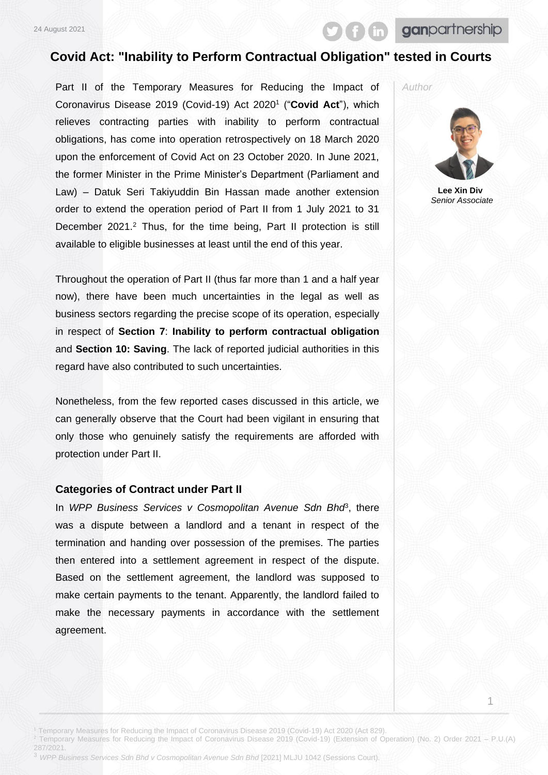# ganpartnership

### **Covid Act: "Inability to Perform Contractual Obligation" tested in Courts**

Part II of the Temporary Measures for Reducing the Impact of Coronavirus Disease 2019 (Covid-19) Act 2020<sup>1</sup> ("**Covid Act**"), which relieves contracting parties with inability to perform contractual obligations, has come into operation retrospectively on 18 March 2020 upon the enforcement of Covid Act on 23 October 2020. In June 2021, the former Minister in the Prime Minister's Department (Parliament and Law) – Datuk Seri Takiyuddin Bin Hassan made another extension order to extend the operation period of Part II from 1 July 2021 to 31 December 2021.<sup>2</sup> Thus, for the time being, Part II protection is still available to eligible businesses at least until the end of this year.

Throughout the operation of Part II (thus far more than 1 and a half year now), there have been much uncertainties in the legal as well as business sectors regarding the precise scope of its operation, especially in respect of **Section 7**: **Inability to perform contractual obligation** and **Section 10: Saving**. The lack of reported judicial authorities in this regard have also contributed to such uncertainties.

Nonetheless, from the few reported cases discussed in this article, we can generally observe that the Court had been vigilant in ensuring that only those who genuinely satisfy the requirements are afforded with protection under Part II.

#### **Categories of Contract under Part II**

In WPP Business Services v Cosmopolitan Avenue Sdn Bho<sup>8</sup>, there was a dispute between a landlord and a tenant in respect of the termination and handing over possession of the premises. The parties then entered into a settlement agreement in respect of the dispute. Based on the settlement agreement, the landlord was supposed to make certain payments to the tenant. Apparently, the landlord failed to make the necessary payments in accordance with the settlement agreement.

*Author*



**Lee Xin Div** *Senior Associate*

1

<sup>1</sup> Temporary Measures for Reducing the Impact of Coronavirus Disease 2019 (Covid-19) Act 2020 (Act 829).

- <sup>2</sup> Temporary Measures for Reducing the Impact of Coronavirus Disease 2019 (Covid-19) (Extension of Operation) (No. 2) Order 2021 P.U.(A)
- 287/2021.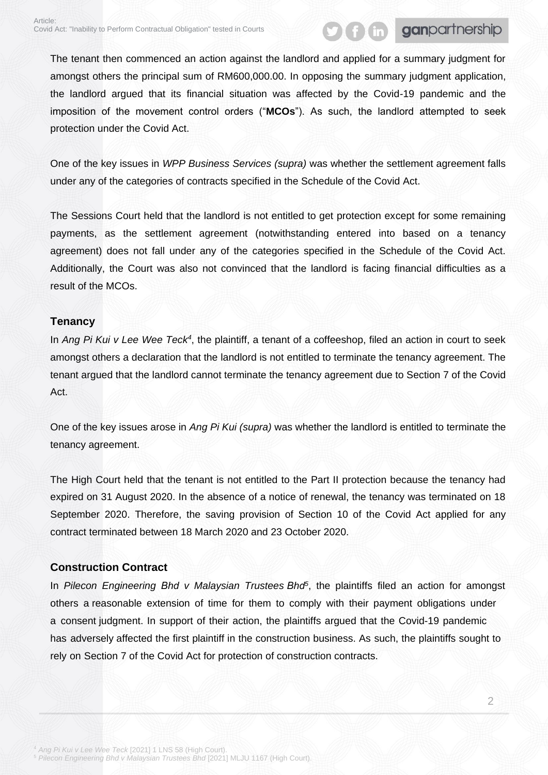# ganpartnership

The tenant then commenced an action against the landlord and applied for a summary judgment for amongst others the principal sum of RM600,000.00. In opposing the summary judgment application, the landlord argued that its financial situation was affected by the Covid-19 pandemic and the imposition of the movement control orders ("**MCOs**"). As such, the landlord attempted to seek protection under the Covid Act.

One of the key issues in *WPP Business Services (supra)* was whether the settlement agreement falls under any of the categories of contracts specified in the Schedule of the Covid Act.

The Sessions Court held that the landlord is not entitled to get protection except for some remaining payments, as the settlement agreement (notwithstanding entered into based on a tenancy agreement) does not fall under any of the categories specified in the Schedule of the Covid Act. Additionally, the Court was also not convinced that the landlord is facing financial difficulties as a result of the MCOs.

#### **Tenancy**

In *Ang Pi Kui v Lee Wee Teck<sup>4</sup>*, the plaintiff, a tenant of a coffeeshop, filed an action in court to seek amongst others a declaration that the landlord is not entitled to terminate the tenancy agreement. The tenant argued that the landlord cannot terminate the tenancy agreement due to Section 7 of the Covid Act.

One of the key issues arose in *Ang Pi Kui (supra)* was whether the landlord is entitled to terminate the tenancy agreement.

The High Court held that the tenant is not entitled to the Part II protection because the tenancy had expired on 31 August 2020. In the absence of a notice of renewal, the tenancy was terminated on 18 September 2020. Therefore, the saving provision of Section 10 of the Covid Act applied for any contract terminated between 18 March 2020 and 23 October 2020.

### **Construction Contract**

In *Pilecon Engineering Bhd v Malaysian Trustees Bhd<sup>5</sup>* , the plaintiffs filed an action for amongst others a reasonable extension of time for them to comply with their payment obligations under a consent judgment. In support of their action, the plaintiffs argued that the Covid-19 pandemic has adversely affected the first plaintiff in the construction business. As such, the plaintiffs sought to rely on Section 7 of the Covid Act for protection of construction contracts.